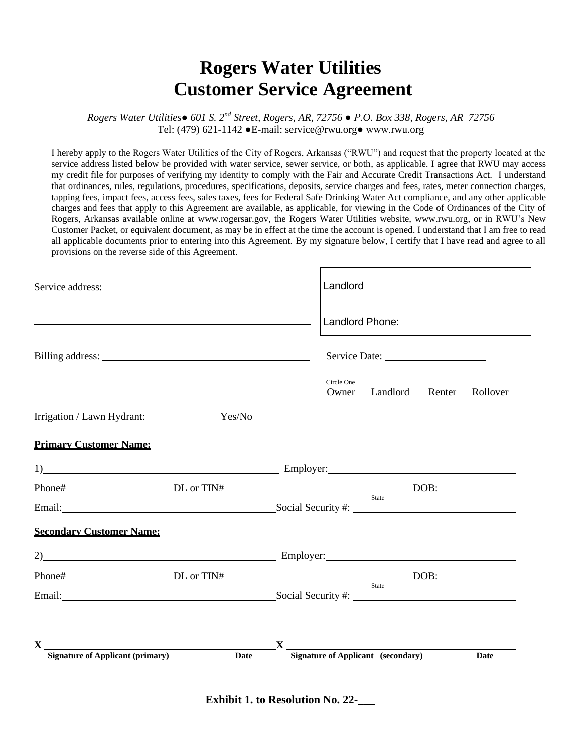## **Rogers Water Utilities Customer Service Agreement**

*Rogers Water Utilities● 601 S. 2nd Street, Rogers, AR, 72756 ● P.O. Box 338, Rogers, AR 72756* Tel: (479) 621-1142 ●E-mail: service@rwu.org● www.rwu.org

I hereby apply to the Rogers Water Utilities of the City of Rogers, Arkansas ("RWU") and request that the property located at the service address listed below be provided with water service, sewer service, or both, as applicable. I agree that RWU may access my credit file for purposes of verifying my identity to comply with the Fair and Accurate Credit Transactions Act. I understand that ordinances, rules, regulations, procedures, specifications, deposits, service charges and fees, rates, meter connection charges, tapping fees, impact fees, access fees, sales taxes, fees for Federal Safe Drinking Water Act compliance, and any other applicable charges and fees that apply to this Agreement are available, as applicable, for viewing in the Code of Ordinances of the City of Rogers, Arkansas available online at www.rogersar.gov, the Rogers Water Utilities website, www.rwu.org, or in RWU's New Customer Packet, or equivalent document, as may be in effect at the time the account is opened. I understand that I am free to read all applicable documents prior to entering into this Agreement. By my signature below, I certify that I have read and agree to all provisions on the reverse side of this Agreement.

|                                                                                                                                                                                                                                | <u> 1980 - Johann Stein, mars an deutscher Stein († 1980)</u> |   |                     |                                           |        |          |
|--------------------------------------------------------------------------------------------------------------------------------------------------------------------------------------------------------------------------------|---------------------------------------------------------------|---|---------------------|-------------------------------------------|--------|----------|
| Billing address: No. 1996. The South of the South Science of the South Science of the South Science of the South Science of the South Science of the South Science of the South Science of the South Science of the South Scie |                                                               |   |                     |                                           |        |          |
| the contract of the contract of the contract of the contract of the contract of the contract of the contract of                                                                                                                |                                                               |   | Circle One<br>Owner | Landlord                                  | Renter | Rollover |
| Irrigation / Lawn Hydrant: Yes/No                                                                                                                                                                                              |                                                               |   |                     |                                           |        |          |
| <b>Primary Customer Name:</b>                                                                                                                                                                                                  |                                                               |   |                     |                                           |        |          |
| $\Box$ Employer: $\Box$ Employer:                                                                                                                                                                                              |                                                               |   |                     |                                           |        |          |
|                                                                                                                                                                                                                                |                                                               |   |                     |                                           |        |          |
| Email: Social Security #:                                                                                                                                                                                                      |                                                               |   |                     |                                           |        |          |
| <b>Secondary Customer Name:</b>                                                                                                                                                                                                |                                                               |   |                     |                                           |        |          |
| 2) Employer: Employer:                                                                                                                                                                                                         |                                                               |   |                     |                                           |        |          |
|                                                                                                                                                                                                                                |                                                               |   |                     |                                           |        |          |
| Email: Social Security #: Social Security #:                                                                                                                                                                                   |                                                               |   |                     | State                                     |        |          |
|                                                                                                                                                                                                                                |                                                               |   |                     |                                           |        |          |
| $\boldsymbol{\mathrm{X}}$ and $\boldsymbol{\mathrm{X}}$<br><b>Signature of Applicant (primary)</b>                                                                                                                             | Date                                                          | X |                     | <b>Signature of Applicant</b> (secondary) |        | Date     |
|                                                                                                                                                                                                                                |                                                               |   |                     |                                           |        |          |

**Exhibit 1. to Resolution No. 22-**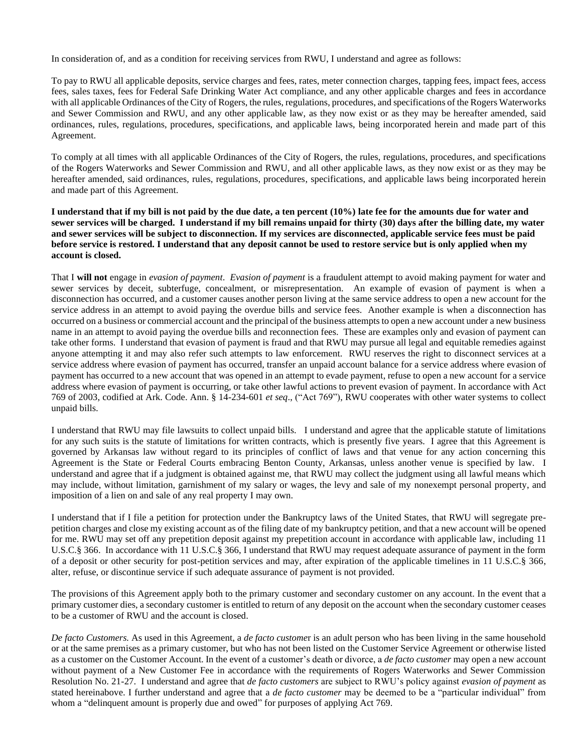In consideration of, and as a condition for receiving services from RWU, I understand and agree as follows:

To pay to RWU all applicable deposits, service charges and fees, rates, meter connection charges, tapping fees, impact fees, access fees, sales taxes, fees for Federal Safe Drinking Water Act compliance, and any other applicable charges and fees in accordance with all applicable Ordinances of the City of Rogers, the rules, regulations, procedures, and specifications of the Rogers Waterworks and Sewer Commission and RWU, and any other applicable law, as they now exist or as they may be hereafter amended, said ordinances, rules, regulations, procedures, specifications, and applicable laws, being incorporated herein and made part of this Agreement.

To comply at all times with all applicable Ordinances of the City of Rogers, the rules, regulations, procedures, and specifications of the Rogers Waterworks and Sewer Commission and RWU, and all other applicable laws, as they now exist or as they may be hereafter amended, said ordinances, rules, regulations, procedures, specifications, and applicable laws being incorporated herein and made part of this Agreement.

## **I understand that if my bill is not paid by the due date, a ten percent (10%) late fee for the amounts due for water and sewer services will be charged. I understand if my bill remains unpaid for thirty (30) days after the billing date, my water and sewer services will be subject to disconnection. If my services are disconnected, applicable service fees must be paid before service is restored. I understand that any deposit cannot be used to restore service but is only applied when my account is closed.**

That I **will not** engage in *evasion of payment*. *Evasion of payment* is a fraudulent attempt to avoid making payment for water and sewer services by deceit, subterfuge, concealment, or misrepresentation. An example of evasion of payment is when a disconnection has occurred, and a customer causes another person living at the same service address to open a new account for the service address in an attempt to avoid paying the overdue bills and service fees. Another example is when a disconnection has occurred on a business or commercial account and the principal of the business attempts to open a new account under a new business name in an attempt to avoid paying the overdue bills and reconnection fees. These are examples only and evasion of payment can take other forms. I understand that evasion of payment is fraud and that RWU may pursue all legal and equitable remedies against anyone attempting it and may also refer such attempts to law enforcement. RWU reserves the right to disconnect services at a service address where evasion of payment has occurred, transfer an unpaid account balance for a service address where evasion of payment has occurred to a new account that was opened in an attempt to evade payment, refuse to open a new account for a service address where evasion of payment is occurring, or take other lawful actions to prevent evasion of payment. In accordance with Act 769 of 2003, codified at Ark. Code. Ann. § 14-234-601 *et seq*., ("Act 769"), RWU cooperates with other water systems to collect unpaid bills.

I understand that RWU may file lawsuits to collect unpaid bills. I understand and agree that the applicable statute of limitations for any such suits is the statute of limitations for written contracts, which is presently five years. I agree that this Agreement is governed by Arkansas law without regard to its principles of conflict of laws and that venue for any action concerning this Agreement is the State or Federal Courts embracing Benton County, Arkansas, unless another venue is specified by law. I understand and agree that if a judgment is obtained against me, that RWU may collect the judgment using all lawful means which may include, without limitation, garnishment of my salary or wages, the levy and sale of my nonexempt personal property, and imposition of a lien on and sale of any real property I may own.

I understand that if I file a petition for protection under the Bankruptcy laws of the United States, that RWU will segregate prepetition charges and close my existing account as of the filing date of my bankruptcy petition, and that a new account will be opened for me. RWU may set off any prepetition deposit against my prepetition account in accordance with applicable law, including 11 U.S.C.§ 366. In accordance with 11 U.S.C.§ 366, I understand that RWU may request adequate assurance of payment in the form of a deposit or other security for post-petition services and may, after expiration of the applicable timelines in 11 U.S.C.§ 366, alter, refuse, or discontinue service if such adequate assurance of payment is not provided.

The provisions of this Agreement apply both to the primary customer and secondary customer on any account. In the event that a primary customer dies, a secondary customer is entitled to return of any deposit on the account when the secondary customer ceases to be a customer of RWU and the account is closed.

*De facto Customers.* As used in this Agreement, a *de facto custome*r is an adult person who has been living in the same household or at the same premises as a primary customer, but who has not been listed on the Customer Service Agreement or otherwise listed as a customer on the Customer Account. In the event of a customer's death or divorce, a *de facto customer* may open a new account without payment of a New Customer Fee in accordance with the requirements of Rogers Waterworks and Sewer Commission Resolution No. 21-27. I understand and agree that *de facto customers* are subject to RWU's policy against *evasion of payment* as stated hereinabove. I further understand and agree that a *de facto customer* may be deemed to be a "particular individual" from whom a "delinquent amount is properly due and owed" for purposes of applying Act 769.